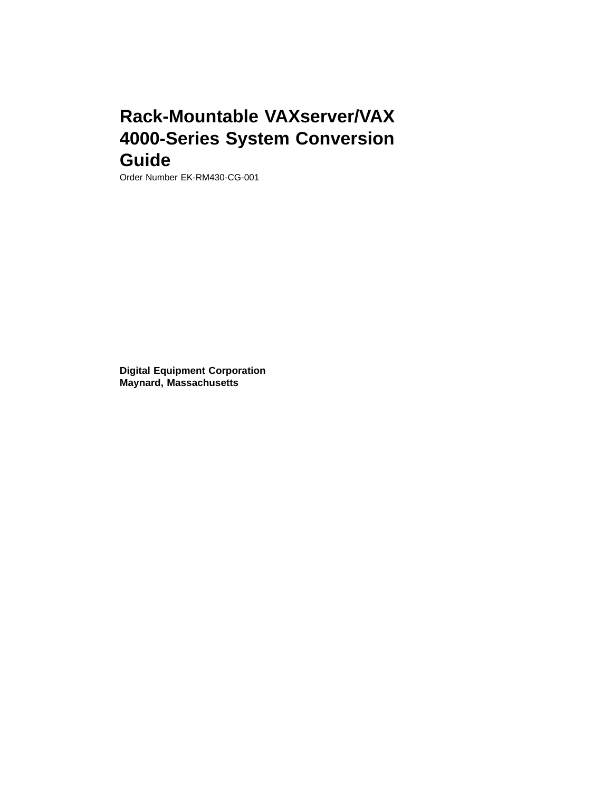# **Rack-Mountable VAXserver/VAX 4000-Series System Conversion Guide**

Order Number EK-RM430-CG-001

**Digital Equipment Corporation Maynard, Massachusetts**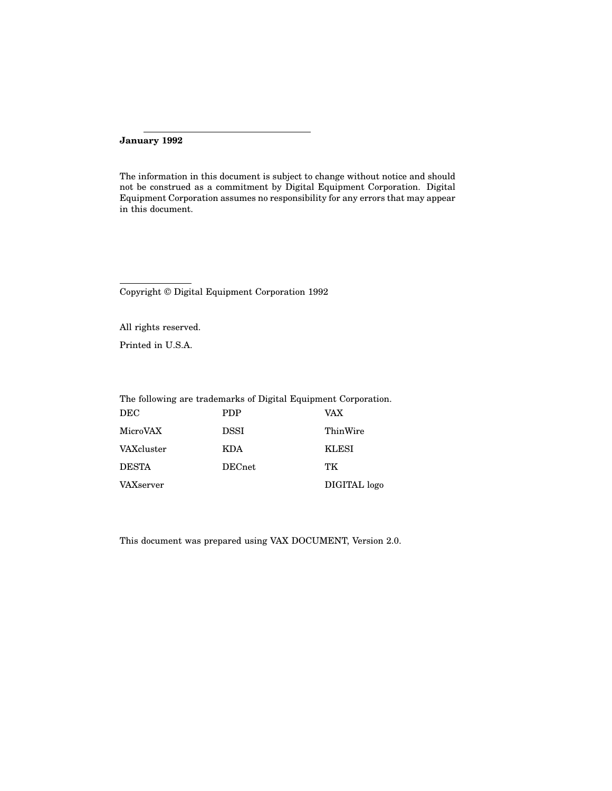#### **January 1992**

The information in this document is subject to change without notice and should not be construed as a commitment by Digital Equipment Corporation. Digital Equipment Corporation assumes no responsibility for any errors that may appear in this document.

Copyright © Digital Equipment Corporation 1992

All rights reserved.

Printed in U.S.A.

|              |               | The following are trademarks of Digital Equipment Corporation. |
|--------------|---------------|----------------------------------------------------------------|
| <b>DEC</b>   | <b>PDP</b>    | VAX                                                            |
| MicroVAX     | DSSI          | ThinWire                                                       |
| VAXcluster   | KDA           | <b>KLESI</b>                                                   |
| <b>DESTA</b> | <b>DECnet</b> | TK                                                             |
| VAXserver    |               | DIGITAL logo                                                   |

This document was prepared using VAX DOCUMENT, Version 2.0.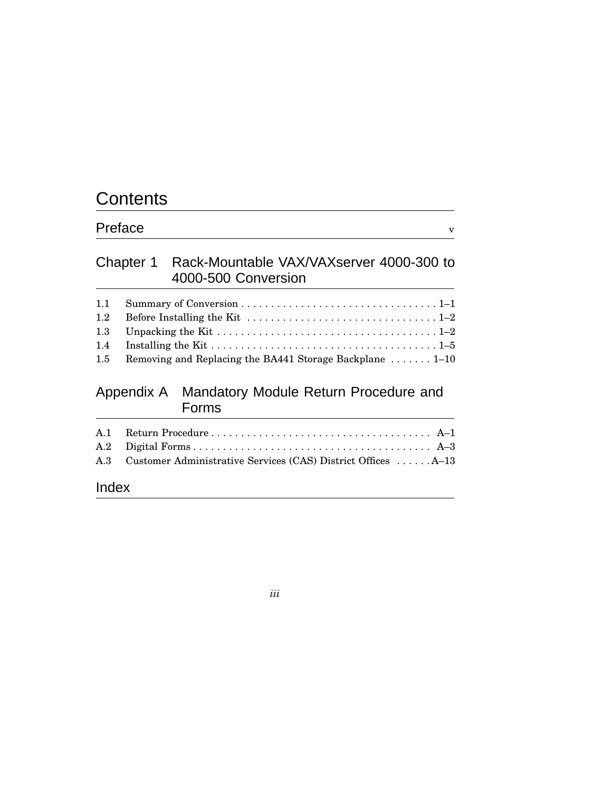# **Contents**

|     | Preface   | $\overline{\mathbf{V}}$                                         |
|-----|-----------|-----------------------------------------------------------------|
|     | Chapter 1 | Rack-Mountable VAX/VAXserver 4000-300 to<br>4000-500 Conversion |
| 1.1 |           |                                                                 |
| 1.2 |           |                                                                 |
| 1.3 |           |                                                                 |
| 1.4 |           |                                                                 |
| 1.5 |           | Removing and Replacing the BA441 Storage Backplane  1–10        |
|     |           | Appendix A Mandatory Module Return Procedure and<br>Forms       |
| A.1 |           |                                                                 |
| A.2 |           |                                                                 |
| A.3 |           | Customer Administrative Services (CAS) District Offices  A-13   |

Index

*iii*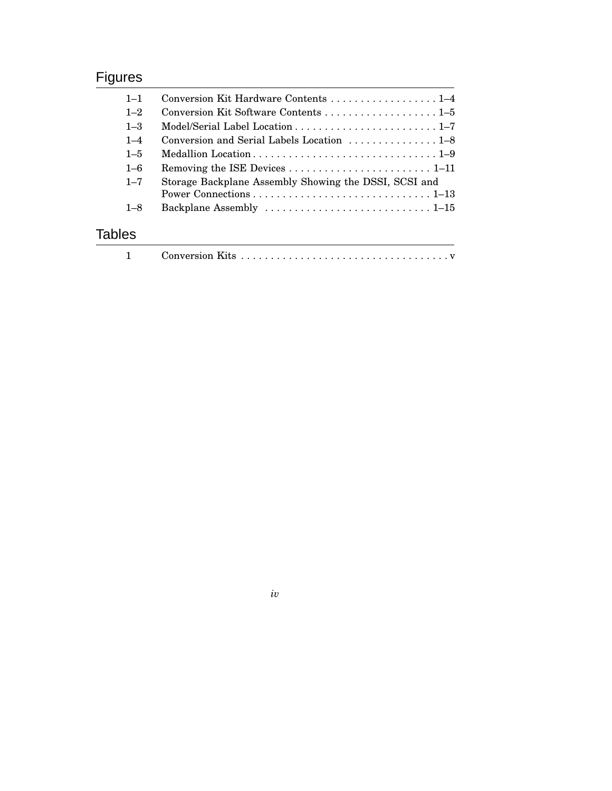# Figures

| <b>Tables</b> |                                                       |
|---------------|-------------------------------------------------------|
| $1 - 8$       |                                                       |
| $1 - 7$       | Storage Backplane Assembly Showing the DSSI, SCSI and |
| $1 - 6$       |                                                       |
| $1 - 5$       |                                                       |
| $1 - 4$       |                                                       |
| $1 - 3$       |                                                       |
| $1 - 2$       | Conversion Kit Software Contents 1–5                  |
| $1 - 1$       | Conversion Kit Hardware Contents 1–4                  |

*iv*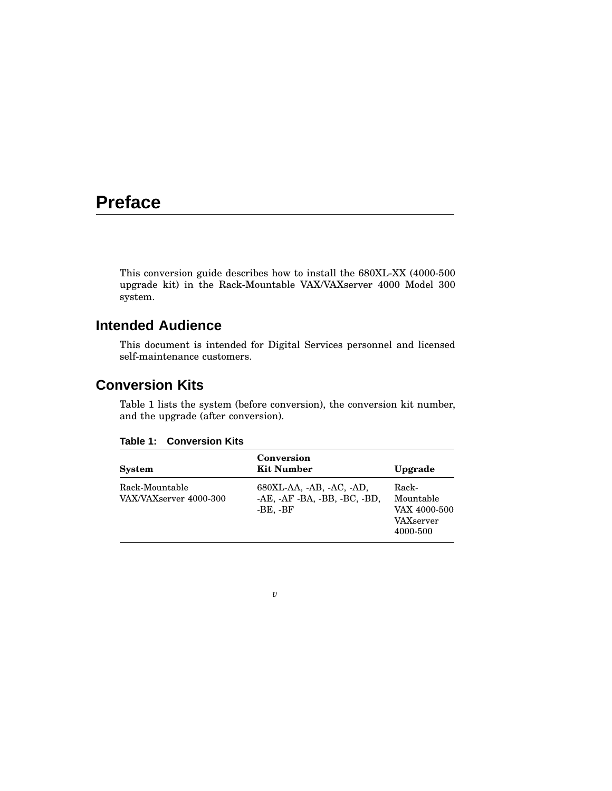# **Preface**

This conversion guide describes how to install the 680XL-XX (4000-500 upgrade kit) in the Rack-Mountable VAX/VAXserver 4000 Model 300 system.

## **Intended Audience**

This document is intended for Digital Services personnel and licensed self-maintenance customers.

# **Conversion Kits**

Table 1 lists the system (before conversion), the conversion kit number, and the upgrade (after conversion).

#### **Table 1: Conversion Kits**

| <b>System</b>                            | Conversion<br><b>Kit Number</b>                                                       | Upgrade                                                            |
|------------------------------------------|---------------------------------------------------------------------------------------|--------------------------------------------------------------------|
| Rack-Mountable<br>VAX/VAXserver 4000-300 | 680XL-AA, -AB, -AC, -AD,<br>$AE$ , $AF$ $-BA$ , $-BB$ , $-BC$ , $-BD$ ,<br>$-BE.$ -BF | Rack-<br>Mountable<br>VAX 4000-500<br><b>VAXserver</b><br>4000-500 |

*v*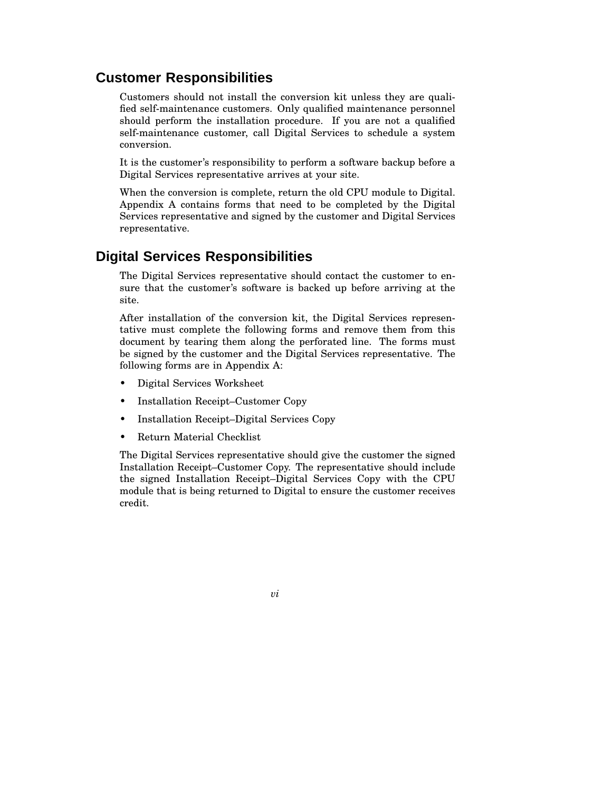## **Customer Responsibilities**

Customers should not install the conversion kit unless they are qualified self-maintenance customers. Only qualified maintenance personnel should perform the installation procedure. If you are not a qualified self-maintenance customer, call Digital Services to schedule a system conversion.

It is the customer's responsibility to perform a software backup before a Digital Services representative arrives at your site.

When the conversion is complete, return the old CPU module to Digital. Appendix A contains forms that need to be completed by the Digital Services representative and signed by the customer and Digital Services representative.

## **Digital Services Responsibilities**

The Digital Services representative should contact the customer to ensure that the customer's software is backed up before arriving at the site.

After installation of the conversion kit, the Digital Services representative must complete the following forms and remove them from this document by tearing them along the perforated line. The forms must be signed by the customer and the Digital Services representative. The following forms are in Appendix A:

- Digital Services Worksheet
- Installation Receipt–Customer Copy
- Installation Receipt–Digital Services Copy
- Return Material Checklist

The Digital Services representative should give the customer the signed Installation Receipt–Customer Copy. The representative should include the signed Installation Receipt–Digital Services Copy with the CPU module that is being returned to Digital to ensure the customer receives credit.

*vi*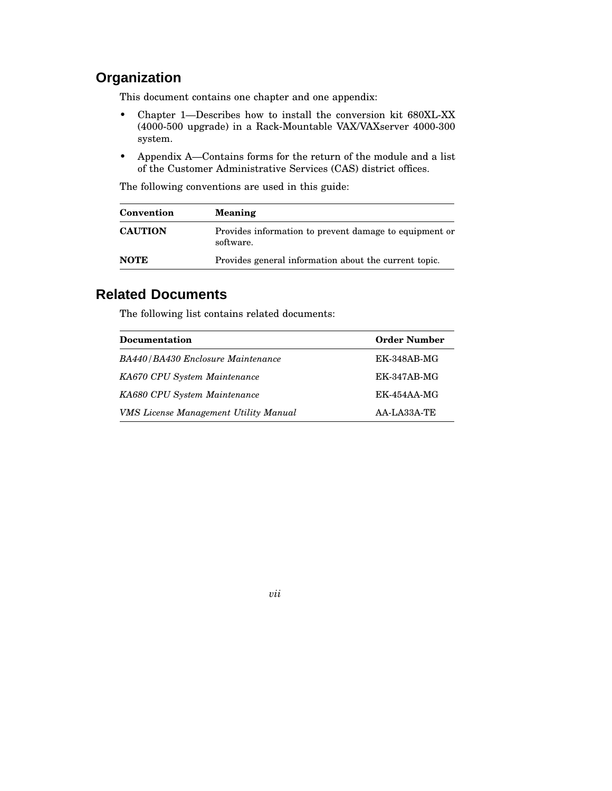# **Organization**

This document contains one chapter and one appendix:

- Chapter 1—Describes how to install the conversion kit 680XL-XX (4000-500 upgrade) in a Rack-Mountable VAX/VAXserver 4000-300 system.
- Appendix A—Contains forms for the return of the module and a list of the Customer Administrative Services (CAS) district offices.

The following conventions are used in this guide:

| Convention     | <b>Meaning</b>                                                      |
|----------------|---------------------------------------------------------------------|
| <b>CAUTION</b> | Provides information to prevent damage to equipment or<br>software. |
| <b>NOTE</b>    | Provides general information about the current topic.               |

## **Related Documents**

The following list contains related documents:

| <b>Documentation</b>                  | <b>Order Number</b> |
|---------------------------------------|---------------------|
| BA440/BA430 Enclosure Maintenance     | EK-348AB-MG         |
| KA670 CPU System Maintenance          | $EK-347AB-MG$       |
| KA680 CPU System Maintenance          | $EK-454AA-MG$       |
| VMS License Management Utility Manual | AA-LA33A-TE         |

*vii*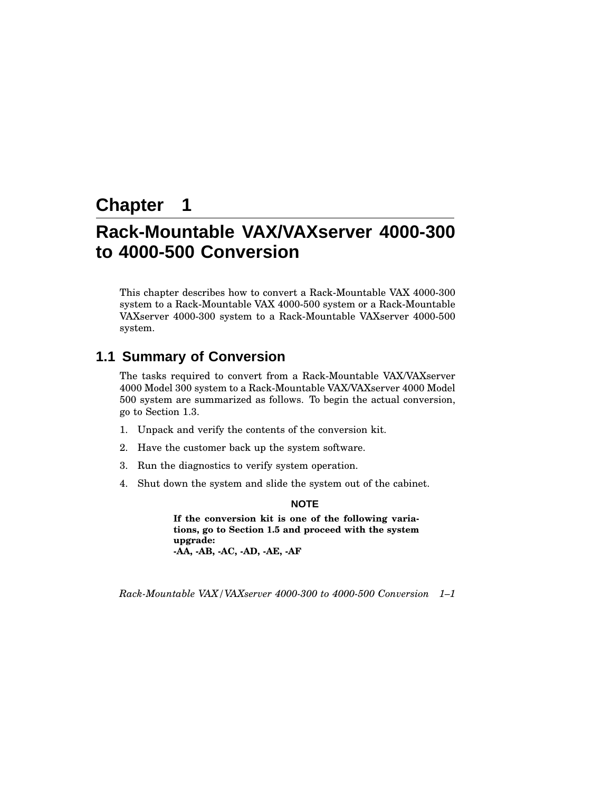# **Chapter 1**

# **Rack-Mountable VAX/VAXserver 4000-300 to 4000-500 Conversion**

This chapter describes how to convert a Rack-Mountable VAX 4000-300 system to a Rack-Mountable VAX 4000-500 system or a Rack-Mountable VAXserver 4000-300 system to a Rack-Mountable VAXserver 4000-500 system.

## **1.1 Summary of Conversion**

The tasks required to convert from a Rack-Mountable VAX/VAXserver 4000 Model 300 system to a Rack-Mountable VAX/VAXserver 4000 Model 500 system are summarized as follows. To begin the actual conversion, go to Section 1.3.

- 1. Unpack and verify the contents of the conversion kit.
- 2. Have the customer back up the system software.
- 3. Run the diagnostics to verify system operation.
- 4. Shut down the system and slide the system out of the cabinet.

#### **NOTE**

**If the conversion kit is one of the following variations, go to Section 1.5 and proceed with the system upgrade: -AA, -AB, -AC, -AD, -AE, -AF**

*Rack-Mountable VAX/VAXserver 4000-300 to 4000-500 Conversion 1–1*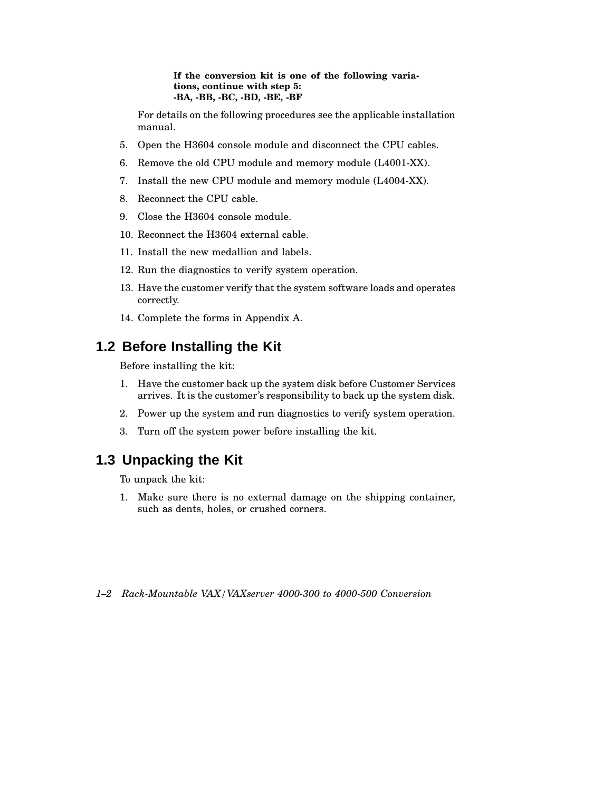**If the conversion kit is one of the following variations, continue with step 5: -BA, -BB, -BC, -BD, -BE, -BF**

For details on the following procedures see the applicable installation manual.

- 5. Open the H3604 console module and disconnect the CPU cables.
- 6. Remove the old CPU module and memory module (L4001-XX).
- 7. Install the new CPU module and memory module (L4004-XX).
- 8. Reconnect the CPU cable.
- 9. Close the H3604 console module.
- 10. Reconnect the H3604 external cable.
- 11. Install the new medallion and labels.
- 12. Run the diagnostics to verify system operation.
- 13. Have the customer verify that the system software loads and operates correctly.
- 14. Complete the forms in Appendix A.

## **1.2 Before Installing the Kit**

Before installing the kit:

- 1. Have the customer back up the system disk before Customer Services arrives. It is the customer's responsibility to back up the system disk.
- 2. Power up the system and run diagnostics to verify system operation.
- 3. Turn off the system power before installing the kit.

## **1.3 Unpacking the Kit**

To unpack the kit:

1. Make sure there is no external damage on the shipping container, such as dents, holes, or crushed corners.

*1–2 Rack-Mountable VAX/VAXserver 4000-300 to 4000-500 Conversion*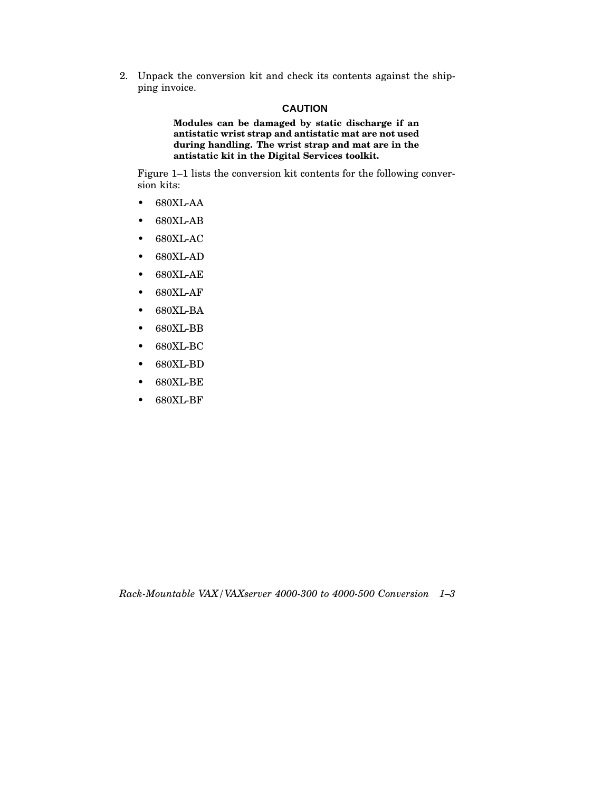2. Unpack the conversion kit and check its contents against the shipping invoice.

#### **CAUTION**

**Modules can be damaged by static discharge if an antistatic wrist strap and antistatic mat are not used during handling. The wrist strap and mat are in the antistatic kit in the Digital Services toolkit.**

Figure 1–1 lists the conversion kit contents for the following conversion kits:

- 680XL-AA
- 680XL-AB
- 680XL-AC
- 680XL-AD
- 680XL-AE
- 680XL-AF
- 680XL-BA
- 680XL-BB
- 680XL-BC
- 680XL-BD
- 680XL-BE
- 680XL-BF

*Rack-Mountable VAX/VAXserver 4000-300 to 4000-500 Conversion 1–3*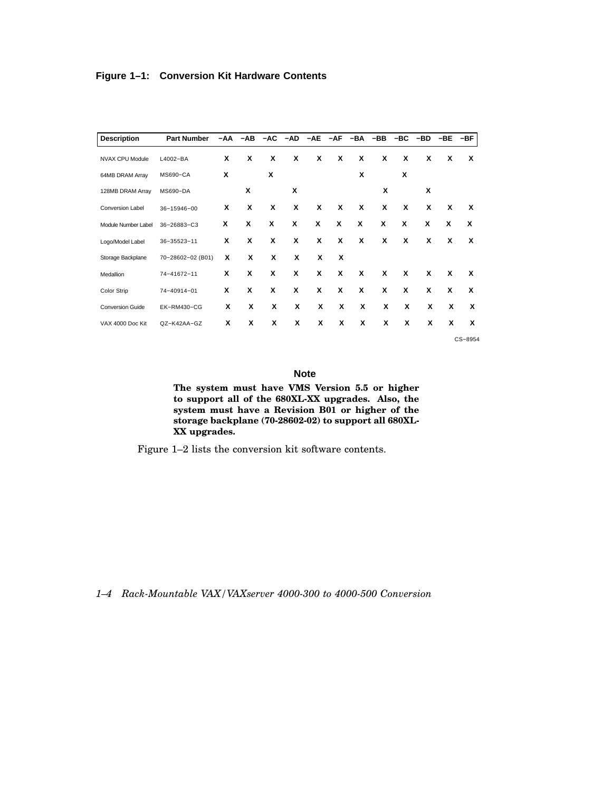### **Figure 1–1: Conversion Kit Hardware Contents**

| <b>Description</b>      | <b>Part Number</b> | -AA | $-AB$ | $-AC$ |   | -AD -AE -AF |   | -BA | -BB | $-BC$ | -BD | -BE | $-BF$   |
|-------------------------|--------------------|-----|-------|-------|---|-------------|---|-----|-----|-------|-----|-----|---------|
| <b>NVAX CPU Module</b>  | L4002-BA           | X   | x     | x     | X | X           | X | X   | X   | X     | x   | X   | x       |
| 64MB DRAM Array         | MS690-CA           | X   |       | X     |   |             |   | x   |     | X     |     |     |         |
| 128MB DRAM Array        | MS690-DA           |     | X     |       | X |             |   |     | X   |       | x   |     |         |
| <b>Conversion Label</b> | 36-15946-00        | X   | X     | X     | X | X           | X | X   | X   | X     | X   | X   | x       |
| Module Number Label     | 36-26883-C3        | X   | X     | X     | X | X           | X | X   | x   | X     | X   | x   | X       |
| Logo/Model Label        | 36-35523-11        | X   | X     | X     | X | X           | X | X   | X   | X     | X   | X   | x       |
| Storage Backplane       | 70-28602-02 (B01)  | x   | X     | X     | X | X           | X |     |     |       |     |     |         |
| Medallion               | 74-41672-11        | X   | x     | X     | X | X           | X | X   | X   | X     | X   | x   | x       |
| Color Strip             | 74-40914-01        | X   | x     | X     | X | X           | X | X   | X   | X     | X   | x   | x       |
| <b>Conversion Guide</b> | EK-RM430-CG        | X   | X     | X     | X | X           | X | X   | X   | X     | X   | X   | X       |
| VAX 4000 Doc Kit        | QZ-K42AA-GZ        | X   | X     | X     | X | X           | X | X   | x   | X     | X   | X   | X       |
|                         |                    |     |       |       |   |             |   |     |     |       |     |     | CS-8954 |

**Note**

**The system must have VMS Version 5.5 or higher to support all of the 680XL-XX upgrades. Also, the system must have a Revision B01 or higher of the storage backplane (70-28602-02) to support all 680XL-XX upgrades.**

Figure 1–2 lists the conversion kit software contents.

*1–4 Rack-Mountable VAX/VAXserver 4000-300 to 4000-500 Conversion*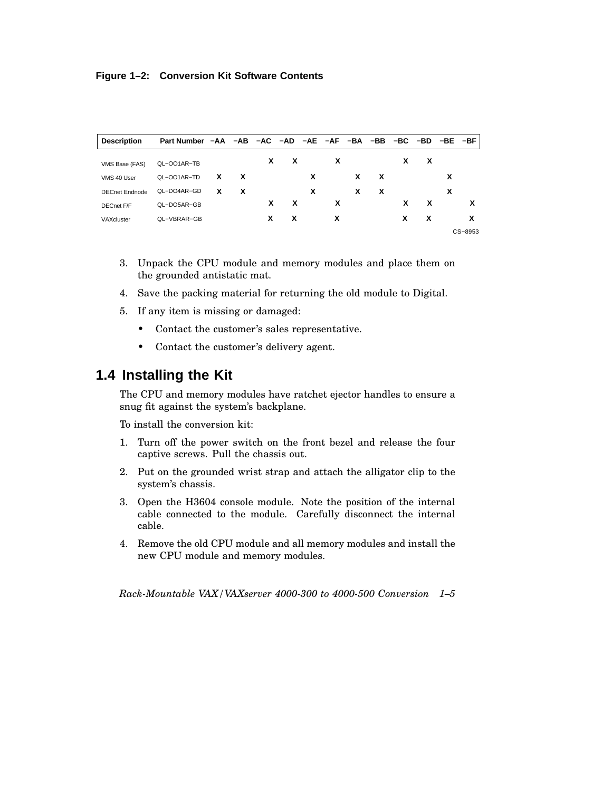#### **Figure 1–2: Conversion Kit Software Contents**

| <b>Description</b>    | Part Number -AA -AB -AC -AD -AE -AF -BA -BB |   |   |   |   |   |   |          |   |   | $-BC$ $-BD$ $-BE$ $-BF$ |   |         |
|-----------------------|---------------------------------------------|---|---|---|---|---|---|----------|---|---|-------------------------|---|---------|
| VMS Base (FAS)        | QL-OO1AR-TB                                 |   |   | x | х |   | x |          |   | x | x                       |   |         |
| VMS 40 User           | QL-OO1AR-TD                                 | x | X |   |   | x |   | <b>X</b> | x |   |                         | х |         |
| <b>DECnet Endnode</b> | QL-DO4AR-GD                                 | x | x |   |   | X |   | x        | x |   |                         | x |         |
| <b>DECnet F/F</b>     | QL-DO5AR-GB                                 |   |   | x | х |   | X |          |   | x | x                       |   | x       |
| VAXcluster            | QL-VBRAR-GB                                 |   |   | x | x |   | X |          |   | x | x                       |   | X       |
|                       |                                             |   |   |   |   |   |   |          |   |   |                         |   | CS-8953 |

- 3. Unpack the CPU module and memory modules and place them on the grounded antistatic mat.
- 4. Save the packing material for returning the old module to Digital.
- 5. If any item is missing or damaged:
	- Contact the customer's sales representative.
	- Contact the customer's delivery agent.

## **1.4 Installing the Kit**

The CPU and memory modules have ratchet ejector handles to ensure a snug fit against the system's backplane.

To install the conversion kit:

- 1. Turn off the power switch on the front bezel and release the four captive screws. Pull the chassis out.
- 2. Put on the grounded wrist strap and attach the alligator clip to the system's chassis.
- 3. Open the H3604 console module. Note the position of the internal cable connected to the module. Carefully disconnect the internal cable.
- 4. Remove the old CPU module and all memory modules and install the new CPU module and memory modules.

*Rack-Mountable VAX/VAXserver 4000-300 to 4000-500 Conversion 1–5*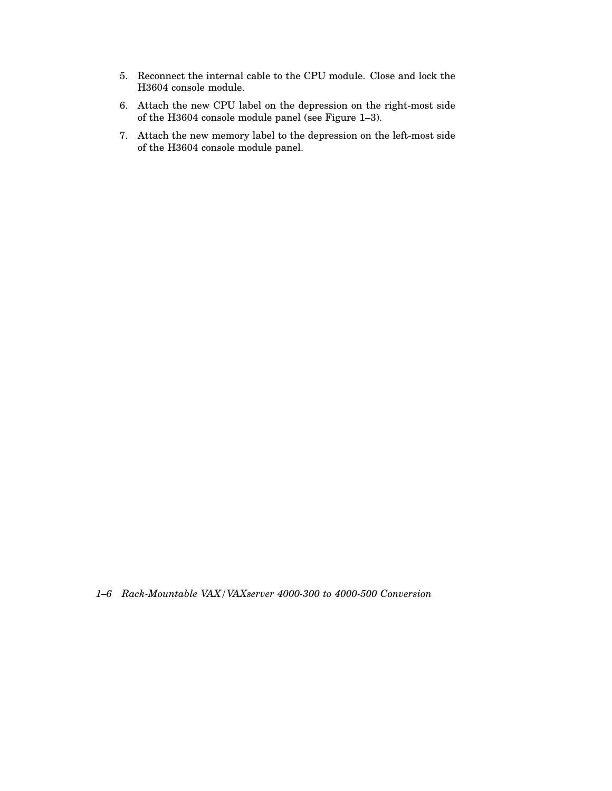- 5. Reconnect the internal cable to the CPU module. Close and lock the H3604 console module.
- 6. Attach the new CPU label on the depression on the right-most side of the H3604 console module panel (see Figure 1–3).
- 7. Attach the new memory label to the depression on the left-most side of the H3604 console module panel.

*1–6 Rack-Mountable VAX/VAXserver 4000-300 to 4000-500 Conversion*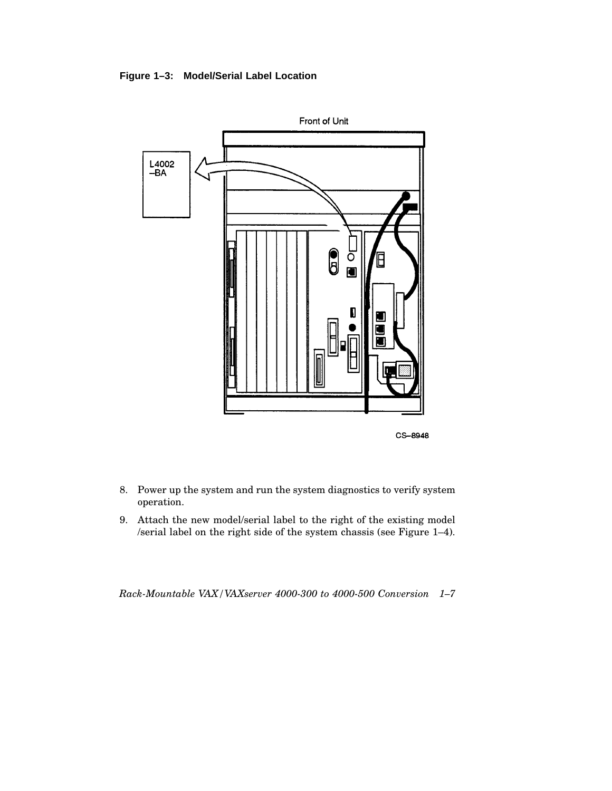**Figure 1–3: Model/Serial Label Location**



- 8. Power up the system and run the system diagnostics to verify system operation.
- 9. Attach the new model/serial label to the right of the existing model /serial label on the right side of the system chassis (see Figure 1–4).

*Rack-Mountable VAX/VAXserver 4000-300 to 4000-500 Conversion 1–7*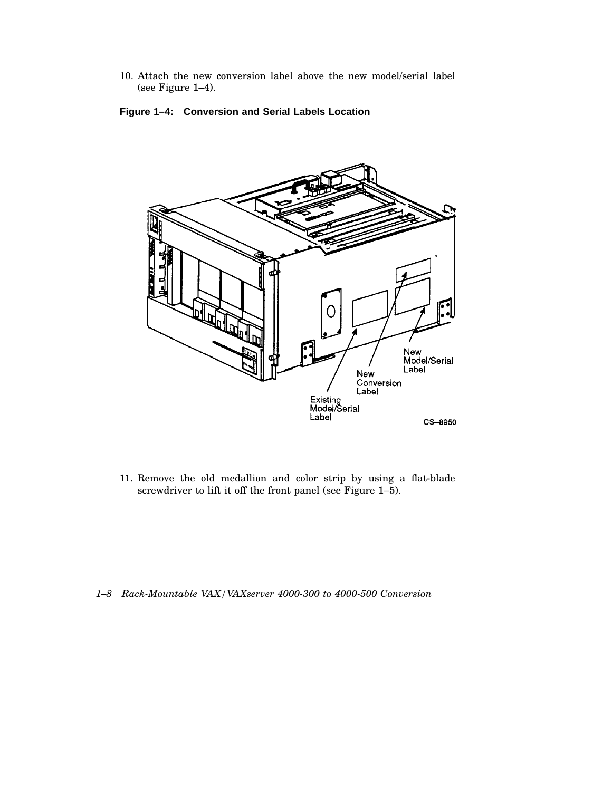10. Attach the new conversion label above the new model/serial label (see Figure 1–4).

### **Figure 1–4: Conversion and Serial Labels Location**



11. Remove the old medallion and color strip by using a flat-blade screwdriver to lift it off the front panel (see Figure 1–5).

*1–8 Rack-Mountable VAX/VAXserver 4000-300 to 4000-500 Conversion*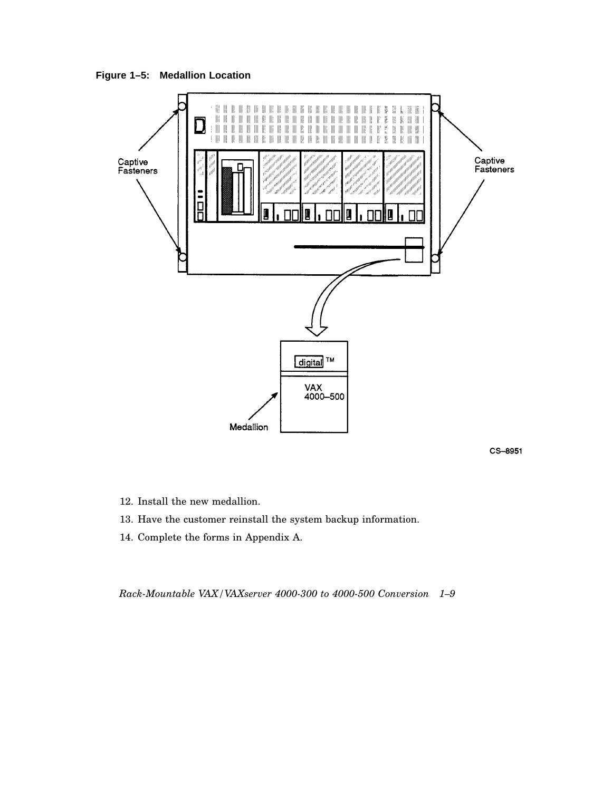**Figure 1–5: Medallion Location**



CS-8951

- 12. Install the new medallion.
- 13. Have the customer reinstall the system backup information.
- 14. Complete the forms in Appendix A.

*Rack-Mountable VAX/VAXserver 4000-300 to 4000-500 Conversion 1–9*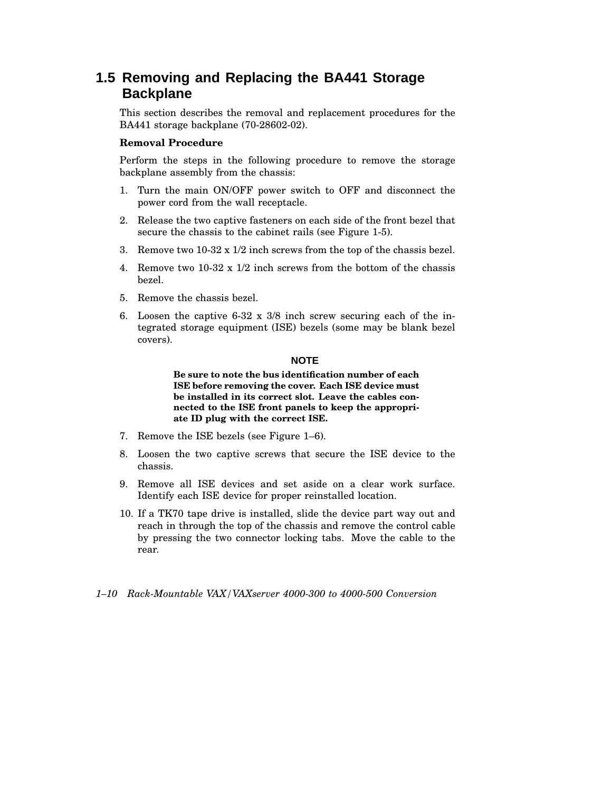## **1.5 Removing and Replacing the BA441 Storage Backplane**

This section describes the removal and replacement procedures for the BA441 storage backplane (70-28602-02).

#### **Removal Procedure**

Perform the steps in the following procedure to remove the storage backplane assembly from the chassis:

- 1. Turn the main ON/OFF power switch to OFF and disconnect the power cord from the wall receptacle.
- 2. Release the two captive fasteners on each side of the front bezel that secure the chassis to the cabinet rails (see Figure 1-5).
- 3. Remove two  $10-32 \times 1/2$  inch screws from the top of the chassis bezel.
- 4. Remove two 10-32 x 1/2 inch screws from the bottom of the chassis bezel.
- 5. Remove the chassis bezel.
- 6. Loosen the captive 6-32 x 3/8 inch screw securing each of the integrated storage equipment (ISE) bezels (some may be blank bezel covers).

#### **NOTE**

**Be sure to note the bus identification number of each ISE before removing the cover. Each ISE device must be installed in its correct slot. Leave the cables connected to the ISE front panels to keep the appropriate ID plug with the correct ISE.**

- 7. Remove the ISE bezels (see Figure 1–6).
- 8. Loosen the two captive screws that secure the ISE device to the chassis.
- 9. Remove all ISE devices and set aside on a clear work surface. Identify each ISE device for proper reinstalled location.
- 10. If a TK70 tape drive is installed, slide the device part way out and reach in through the top of the chassis and remove the control cable by pressing the two connector locking tabs. Move the cable to the rear.
- *1–10 Rack-Mountable VAX/VAXserver 4000-300 to 4000-500 Conversion*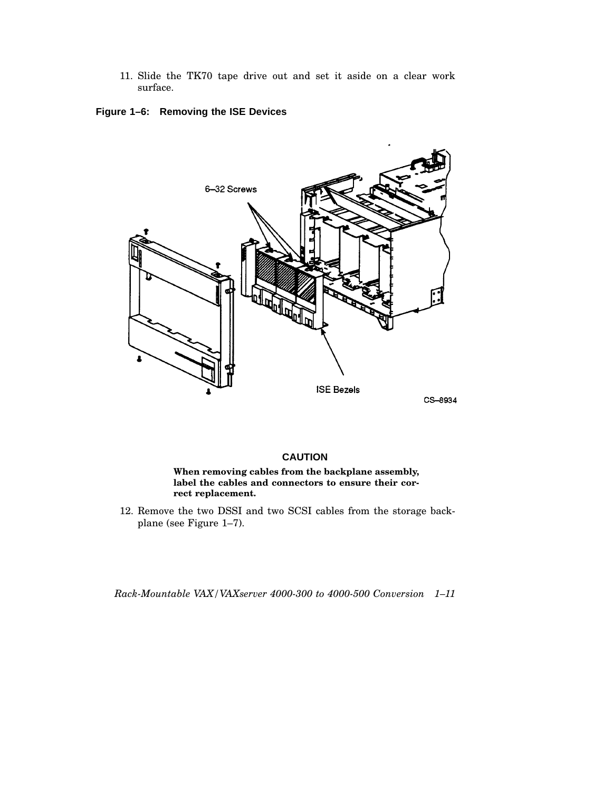11. Slide the TK70 tape drive out and set it aside on a clear work surface.





### CS-8934

### **CAUTION**

**When removing cables from the backplane assembly, label the cables and connectors to ensure their correct replacement.**

12. Remove the two DSSI and two SCSI cables from the storage backplane (see Figure 1–7).

*Rack-Mountable VAX/VAXserver 4000-300 to 4000-500 Conversion 1–11*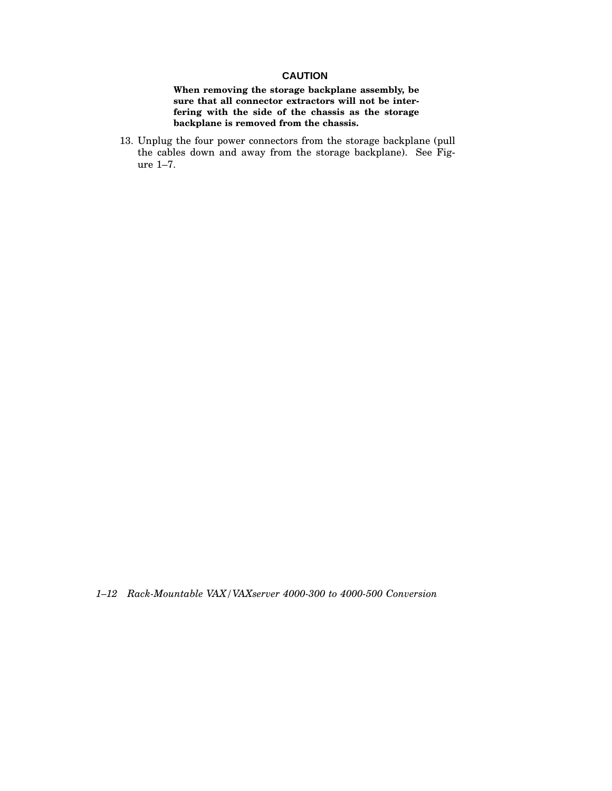#### **CAUTION**

**When removing the storage backplane assembly, be sure that all connector extractors will not be interfering with the side of the chassis as the storage backplane is removed from the chassis.**

13. Unplug the four power connectors from the storage backplane (pull the cables down and away from the storage backplane). See Figure 1–7.

*1–12 Rack-Mountable VAX/VAXserver 4000-300 to 4000-500 Conversion*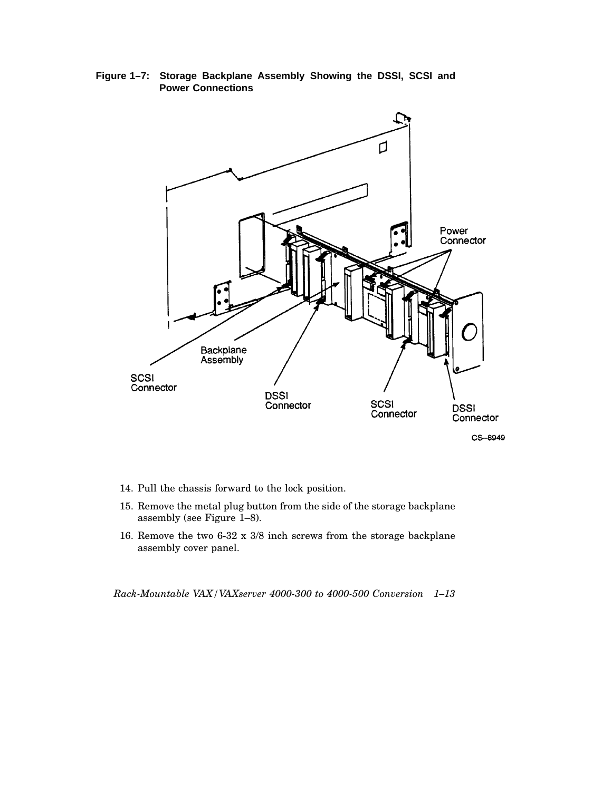

**Figure 1–7: Storage Backplane Assembly Showing the DSSI, SCSI and Power Connections**

- 14. Pull the chassis forward to the lock position.
- 15. Remove the metal plug button from the side of the storage backplane assembly (see Figure 1–8).
- 16. Remove the two 6-32 x 3/8 inch screws from the storage backplane assembly cover panel.

*Rack-Mountable VAX/VAXserver 4000-300 to 4000-500 Conversion 1–13*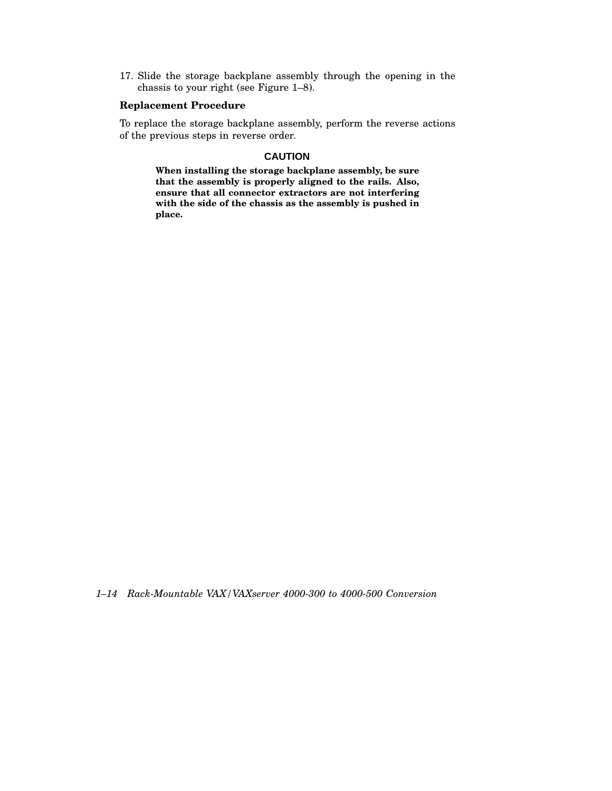17. Slide the storage backplane assembly through the opening in the chassis to your right (see Figure 1–8).

#### **Replacement Procedure**

To replace the storage backplane assembly, perform the reverse actions of the previous steps in reverse order.

#### **CAUTION**

**When installing the storage backplane assembly, be sure that the assembly is properly aligned to the rails. Also, ensure that all connector extractors are not interfering with the side of the chassis as the assembly is pushed in place.**

*1–14 Rack-Mountable VAX/VAXserver 4000-300 to 4000-500 Conversion*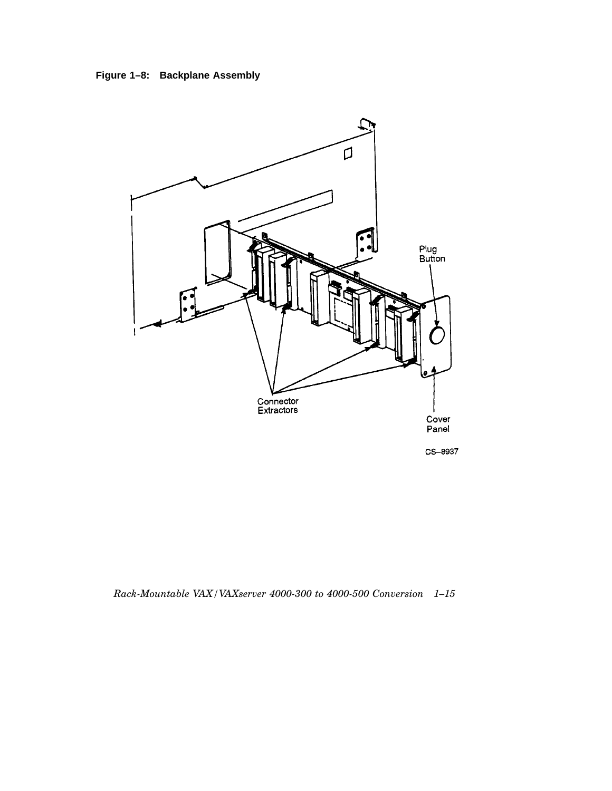



CS-8937

*Rack-Mountable VAX/VAXserver 4000-300 to 4000-500 Conversion 1–15*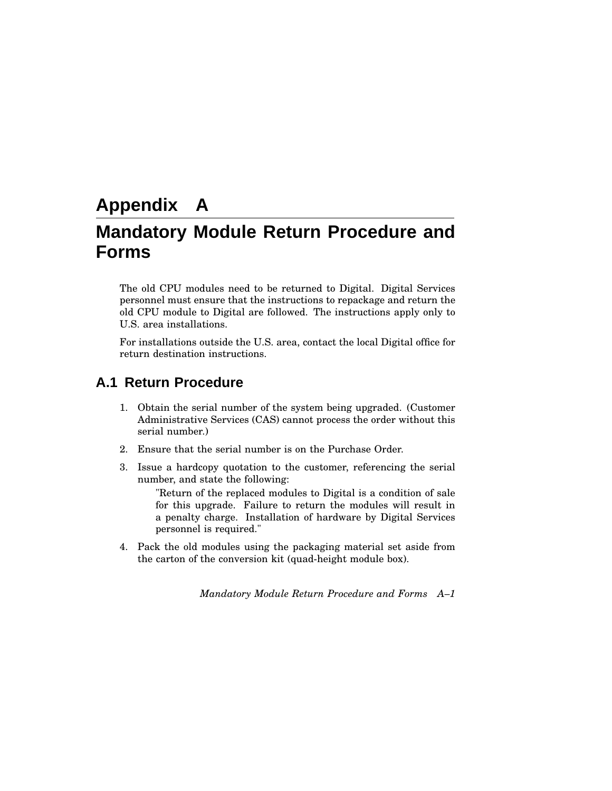# **Appendix A**

# **Mandatory Module Return Procedure and Forms**

The old CPU modules need to be returned to Digital. Digital Services personnel must ensure that the instructions to repackage and return the old CPU module to Digital are followed. The instructions apply only to U.S. area installations.

For installations outside the U.S. area, contact the local Digital office for return destination instructions.

## **A.1 Return Procedure**

- 1. Obtain the serial number of the system being upgraded. (Customer Administrative Services (CAS) cannot process the order without this serial number.)
- 2. Ensure that the serial number is on the Purchase Order.
- 3. Issue a hardcopy quotation to the customer, referencing the serial number, and state the following:

"Return of the replaced modules to Digital is a condition of sale for this upgrade. Failure to return the modules will result in a penalty charge. Installation of hardware by Digital Services personnel is required."

4. Pack the old modules using the packaging material set aside from the carton of the conversion kit (quad-height module box).

*Mandatory Module Return Procedure and Forms A–1*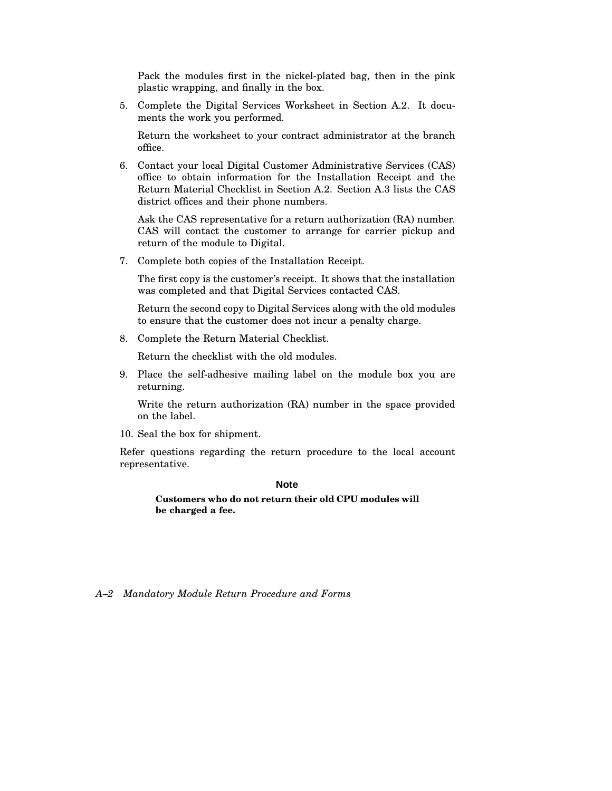Pack the modules first in the nickel-plated bag, then in the pink plastic wrapping, and finally in the box.

5. Complete the Digital Services Worksheet in Section A.2. It documents the work you performed.

Return the worksheet to your contract administrator at the branch office.

6. Contact your local Digital Customer Administrative Services (CAS) office to obtain information for the Installation Receipt and the Return Material Checklist in Section A.2. Section A.3 lists the CAS district offices and their phone numbers.

Ask the CAS representative for a return authorization (RA) number. CAS will contact the customer to arrange for carrier pickup and return of the module to Digital.

7. Complete both copies of the Installation Receipt.

The first copy is the customer's receipt. It shows that the installation was completed and that Digital Services contacted CAS.

Return the second copy to Digital Services along with the old modules to ensure that the customer does not incur a penalty charge.

8. Complete the Return Material Checklist.

Return the checklist with the old modules.

9. Place the self-adhesive mailing label on the module box you are returning.

Write the return authorization (RA) number in the space provided on the label.

10. Seal the box for shipment.

Refer questions regarding the return procedure to the local account representative.

#### **Note**

**Customers who do not return their old CPU modules will be charged a fee.**

#### *A–2 Mandatory Module Return Procedure and Forms*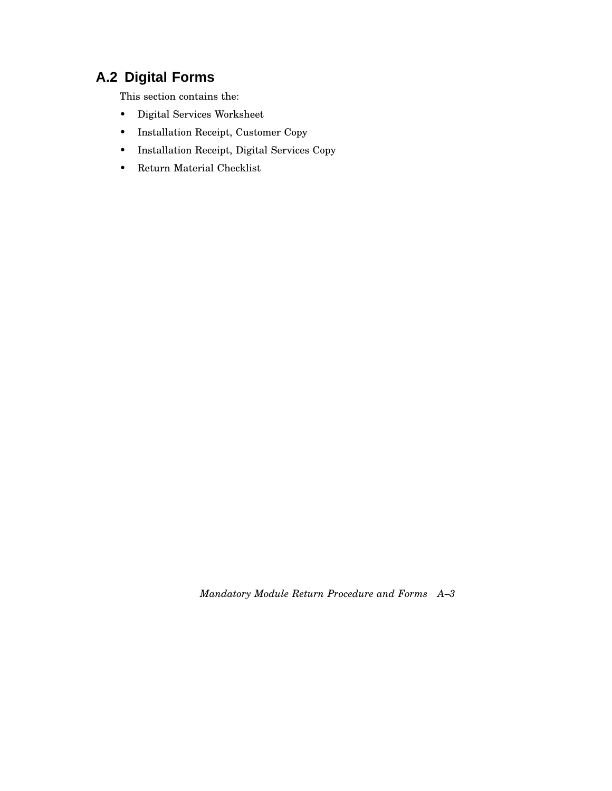# **A.2 Digital Forms**

This section contains the:

- Digital Services Worksheet
- Installation Receipt, Customer Copy
- Installation Receipt, Digital Services Copy
- Return Material Checklist

*Mandatory Module Return Procedure and Forms A–3*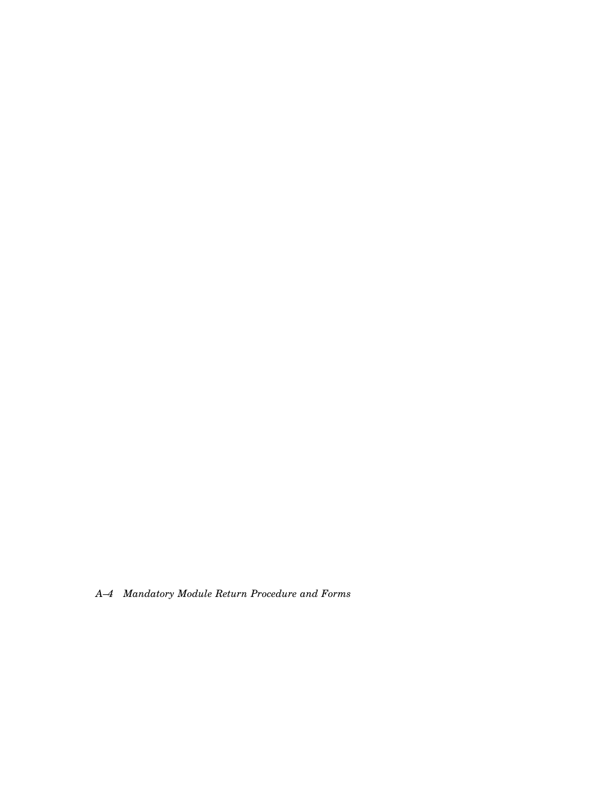A-4 Mandatory Module Return Procedure and Forms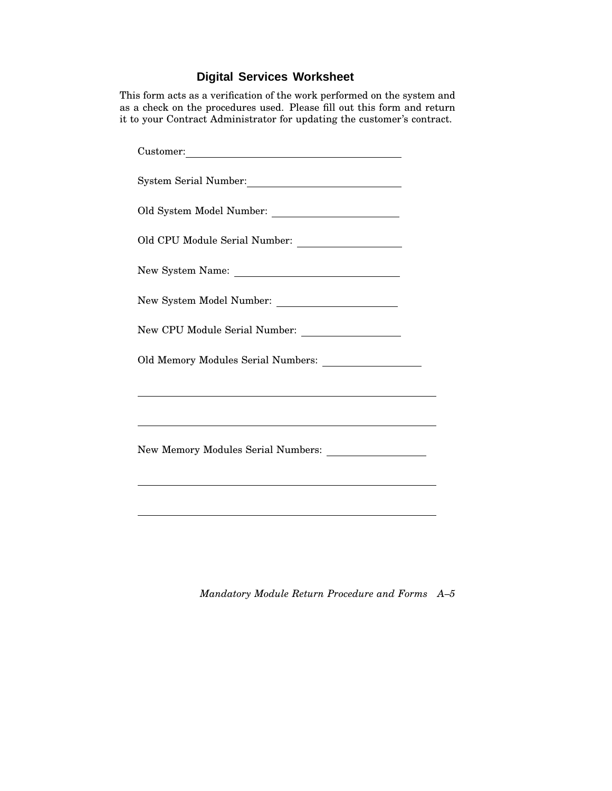## **Digital Services Worksheet**

This form acts as a verification of the work performed on the system and as a check on the procedures used. Please fill out this form and return it to your Contract Administrator for updating the customer's contract.

| System Serial Number:    |  |
|--------------------------|--|
|                          |  |
|                          |  |
|                          |  |
| New System Model Number: |  |
|                          |  |
|                          |  |
|                          |  |
|                          |  |
|                          |  |
|                          |  |
|                          |  |
|                          |  |

*Mandatory Module Return Procedure and Forms A–5*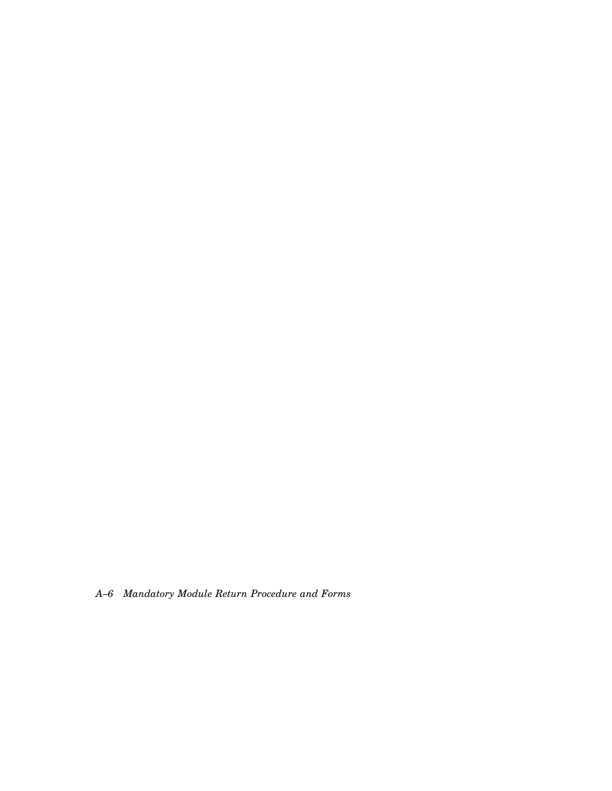A-6 Mandatory Module Return Procedure and Forms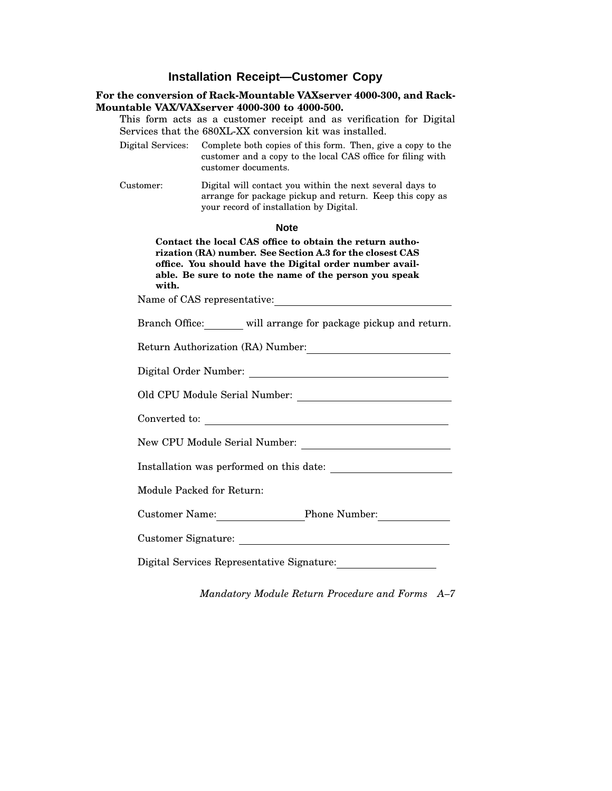### **Installation Receipt—Customer Copy**

**For the conversion of Rack-Mountable VAXserver 4000-300, and Rack-Mountable VAX/VAXserver 4000-300 to 4000-500.**

This form acts as a customer receipt and as verification for Digital Services that the 680XL-XX conversion kit was installed.

Digital Services: Complete both copies of this form. Then, give a copy to the customer and a copy to the local CAS office for filing with customer documents.

Customer: Digital will contact you within the next several days to arrange for package pickup and return. Keep this copy as your record of installation by Digital.

#### **Note**

**Contact the local CAS office to obtain the return authorization (RA) number. See Section A.3 for the closest CAS office. You should have the Digital order number available. Be sure to note the name of the person you speak with.** Name of CAS representative: Branch Office: will arrange for package pickup and return. Return Authorization (RA) Number: Digital Order Number: Old CPU Module Serial Number: Converted to: New CPU Module Serial Number: Installation was performed on this date: Module Packed for Return: Customer Name: Phone Number: Customer Signature: Digital Services Representative Signature:

*Mandatory Module Return Procedure and Forms A–7*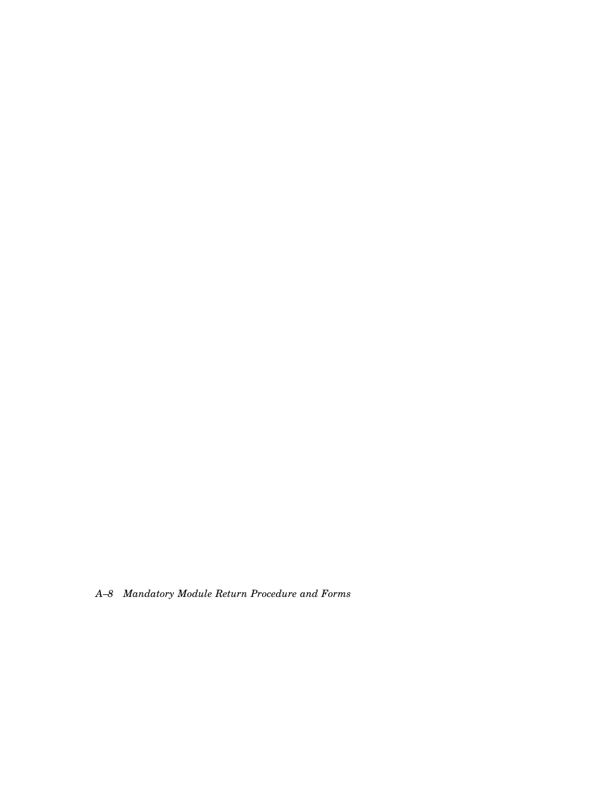A-8 Mandatory Module Return Procedure and Forms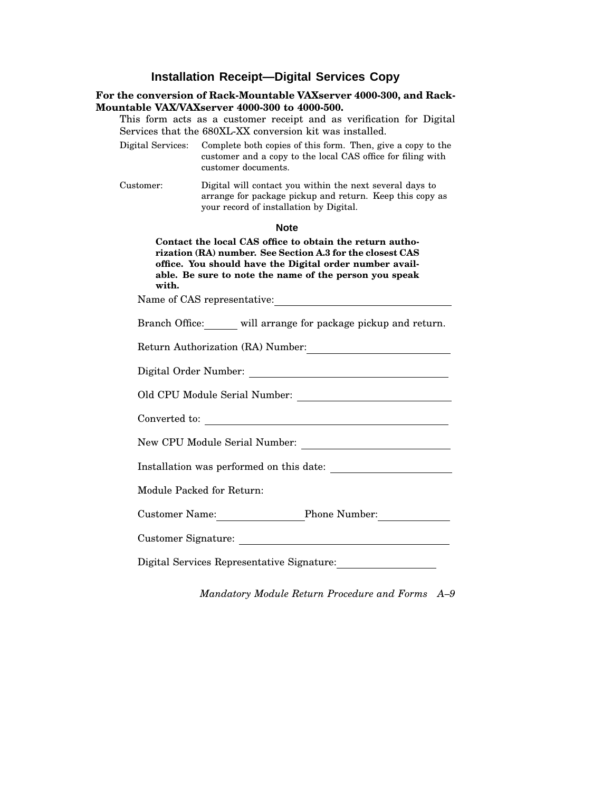### **Installation Receipt—Digital Services Copy**

**For the conversion of Rack-Mountable VAXserver 4000-300, and Rack-Mountable VAX/VAXserver 4000-300 to 4000-500.**

This form acts as a customer receipt and as verification for Digital Services that the 680XL-XX conversion kit was installed.

Digital Services: Complete both copies of this form. Then, give a copy to the customer and a copy to the local CAS office for filing with customer documents.

Customer: Digital will contact you within the next several days to arrange for package pickup and return. Keep this copy as your record of installation by Digital.

#### **Note**

**Contact the local CAS office to obtain the return authorization (RA) number. See Section A.3 for the closest CAS office. You should have the Digital order number available. Be sure to note the name of the person you speak with.** Name of CAS representative: Branch Office: will arrange for package pickup and return. Return Authorization (RA) Number: Digital Order Number: Old CPU Module Serial Number: Converted to: New CPU Module Serial Number: Installation was performed on this date: Module Packed for Return: Customer Name: Phone Number: Customer Signature: Digital Services Representative Signature:

*Mandatory Module Return Procedure and Forms A–9*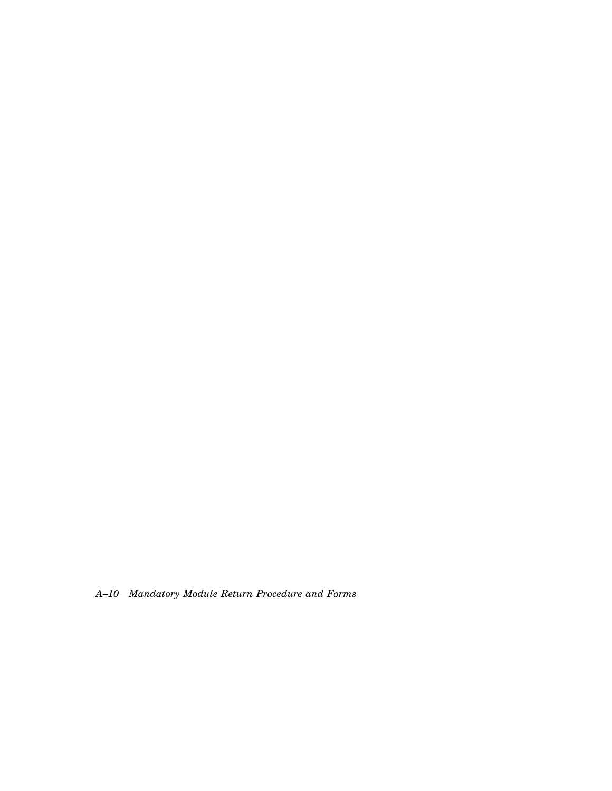A-10 Mandatory Module Return Procedure and Forms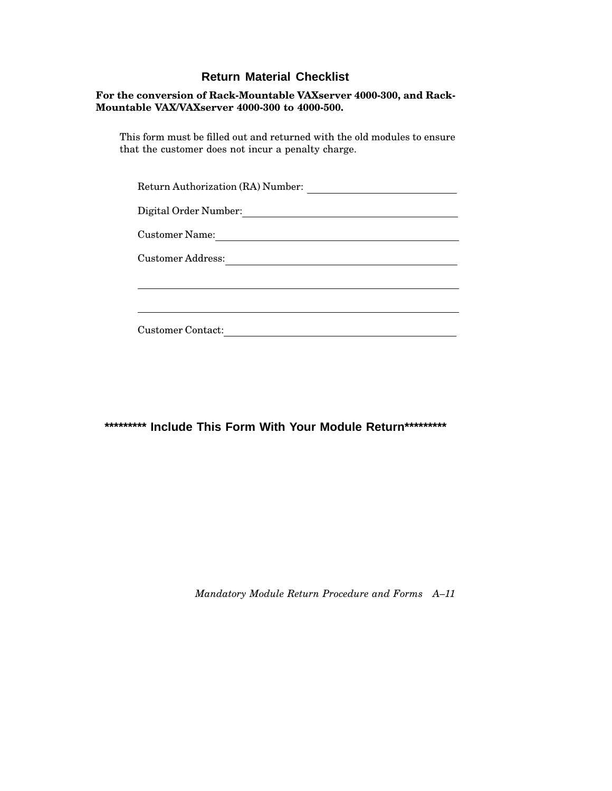## **Return Material Checklist**

### **For the conversion of Rack-Mountable VAXserver 4000-300, and Rack-Mountable VAX/VAXserver 4000-300 to 4000-500.**

This form must be filled out and returned with the old modules to ensure that the customer does not incur a penalty charge.

| Return Authorization (RA) Number: |
|-----------------------------------|
| Digital Order Number:             |
| Customer Name:                    |
| <b>Customer Address:</b>          |
|                                   |
|                                   |
| <b>Customer Contact:</b>          |

**\*\*\*\*\*\*\*\*\* Include This Form With Your Module Return\*\*\*\*\*\*\*\*\***

*Mandatory Module Return Procedure and Forms A–11*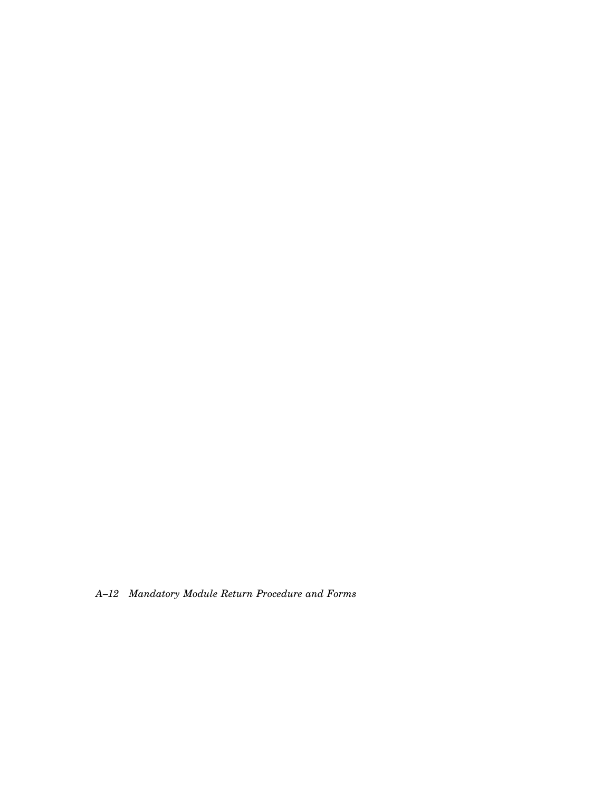A-12 Mandatory Module Return Procedure and Forms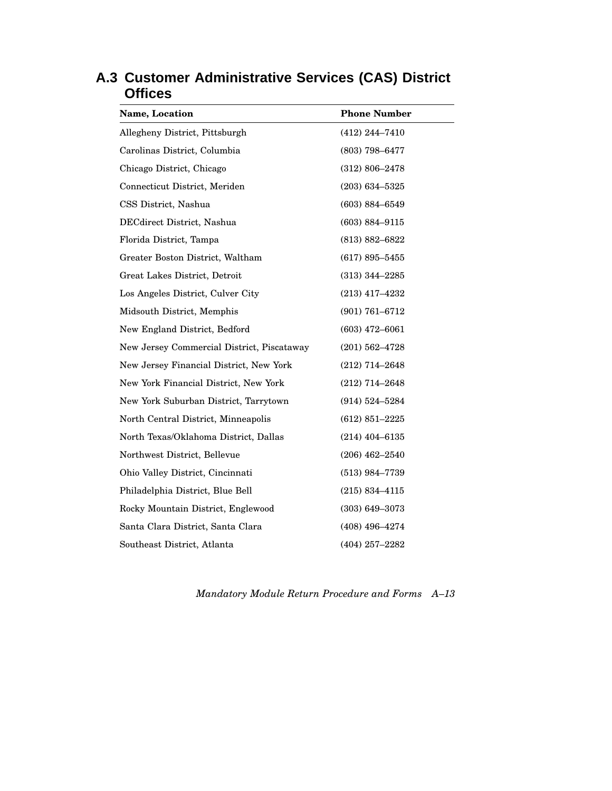|                | A.3 Customer Administrative Services (CAS) District |  |  |
|----------------|-----------------------------------------------------|--|--|
| <b>Offices</b> |                                                     |  |  |

| Name, Location                             | <b>Phone Number</b> |
|--------------------------------------------|---------------------|
| Allegheny District, Pittsburgh             | $(412)$ 244-7410    |
| Carolinas District, Columbia               | $(803)$ 798-6477    |
| Chicago District, Chicago                  | $(312) 806 - 2478$  |
| Connecticut District, Meriden              | $(203) 634 - 5325$  |
| CSS District, Nashua                       | $(603) 884 - 6549$  |
| DECdirect District, Nashua                 | $(603) 884 - 9115$  |
| Florida District, Tampa                    | $(813) 882 - 6822$  |
| Greater Boston District, Waltham           | $(617)$ 895-5455    |
| Great Lakes District, Detroit              | $(313)$ 344–2285    |
| Los Angeles District, Culver City          | $(213)$ 417-4232    |
| Midsouth District, Memphis                 | $(901) 761 - 6712$  |
| New England District, Bedford              | $(603)$ 472-6061    |
| New Jersey Commercial District, Piscataway | $(201)$ 562-4728    |
| New Jersey Financial District, New York    | $(212)$ 714-2648    |
| New York Financial District, New York      | $(212)$ 714–2648    |
| New York Suburban District, Tarrytown      | $(914) 524 - 5284$  |
| North Central District, Minneapolis        | $(612) 851 - 2225$  |
| North Texas/Oklahoma District, Dallas      | $(214)$ 404–6135    |
| Northwest District, Bellevue               | $(206)$ 462-2540    |
| Ohio Valley District, Cincinnati           | $(513)$ 984-7739    |
| Philadelphia District, Blue Bell           | $(215) 834 - 4115$  |
| Rocky Mountain District, Englewood         | $(303) 649 - 3073$  |
| Santa Clara District, Santa Clara          | $(408)$ 496-4274    |
| Southeast District, Atlanta                | $(404)$ 257-2282    |

## *Mandatory Module Return Procedure and Forms A–13*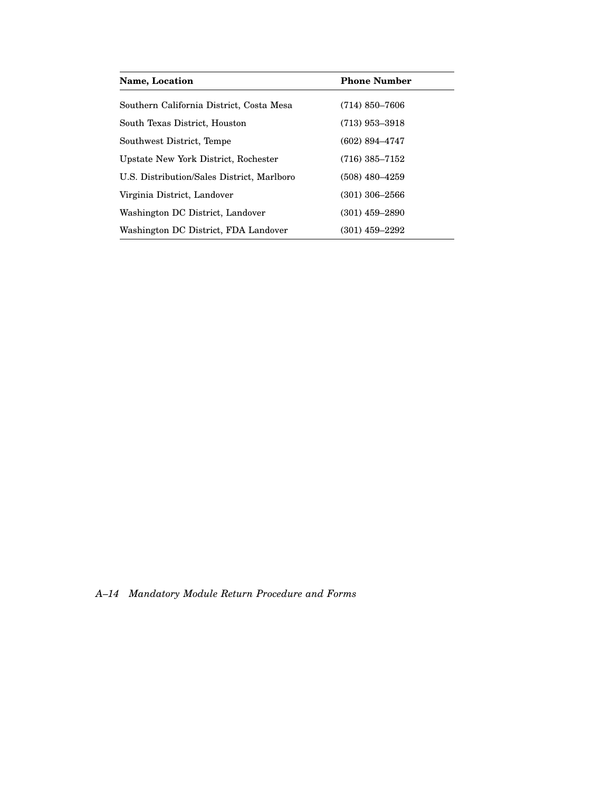| <b>Name, Location</b>                      | <b>Phone Number</b> |
|--------------------------------------------|---------------------|
| Southern California District, Costa Mesa   | $(714)$ 850-7606    |
| South Texas District, Houston              | $(713)$ 953-3918    |
| Southwest District, Tempe                  | $(602)$ 894-4747    |
| Upstate New York District, Rochester       | $(716)$ 385-7152    |
| U.S. Distribution/Sales District, Marlboro | $(508)$ 480-4259    |
| Virginia District, Landover                | $(301)$ 306-2566    |
| Washington DC District, Landover           | $(301)$ 459-2890    |
| Washington DC District, FDA Landover       | $(301)$ 459–2292    |

*A–14 Mandatory Module Return Procedure and Forms*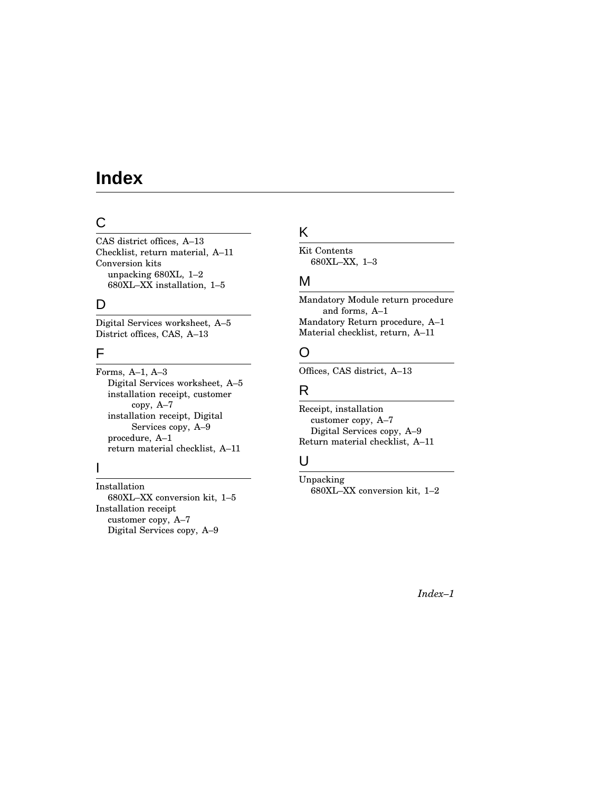# **Index**

# C

CAS district offices, A–13 Checklist, return material, A–11 Conversion kits unpacking 680XL, 1–2 680XL–XX installation, 1–5

## D

Digital Services worksheet, A–5 District offices, CAS, A–13

## F

Forms, A–1, A–3 Digital Services worksheet, A–5 installation receipt, customer copy, A–7 installation receipt, Digital Services copy, A–9 procedure, A–1 return material checklist, A–11

### I

Installation 680XL–XX conversion kit, 1–5 Installation receipt customer copy, A–7 Digital Services copy, A–9

## K

Kit Contents 680XL–XX, 1–3

## M

Mandatory Module return procedure and forms, A–1 Mandatory Return procedure, A–1 Material checklist, return, A–11

## O

Offices, CAS district, A–13

## R

Receipt, installation customer copy, A–7 Digital Services copy, A–9 Return material checklist, A–11

## U

Unpacking 680XL–XX conversion kit, 1–2

*Index–1*